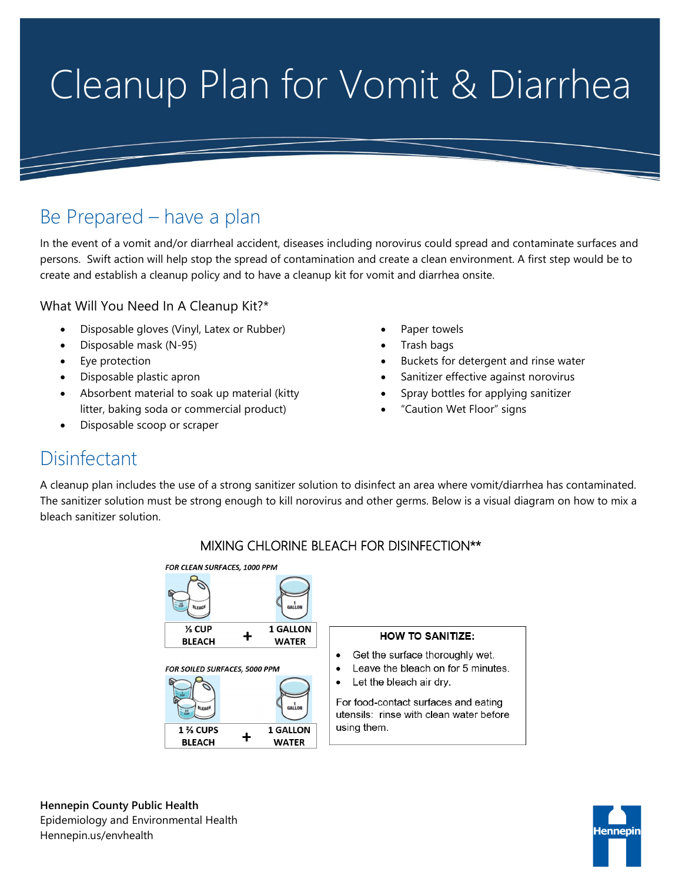# Cleanup Plan for Vomit & Diarrhea

# Be Prepared – have a plan

In the event of a vomit and/or diarrheal accident, diseases including norovirus could spread and contaminate surfaces and persons. Swift action will help stop the spread of contamination and create a clean environment. A first step would be to create and establish a cleanup policy and to have a cleanup kit for vomit and diarrhea onsite.

What Will You Need In A Cleanup Kit?\*

- Disposable gloves (Vinyl, Latex or Rubber)
- Disposable mask (N-95)
- Eye protection
- Disposable plastic apron
- Absorbent material to soak up material (kitty litter, baking soda or commercial product)
- Disposable scoop or scraper
- Paper towels
- Trash bags
- Buckets for detergent and rinse water
- Sanitizer effective against norovirus
- Spray bottles for applying sanitizer
- "Caution Wet Floor" signs

## **Disinfectant**

A cleanup plan includes the use of a strong sanitizer solution to disinfect an area where vomit/diarrhea has contaminated. The sanitizer solution must be strong enough to kill norovirus and other germs. Below is a visual diagram on how to mix a bleach sanitizer solution.



### MIXING CHLORINE BLEACH FOR DISINFECTION\*\*

**Hennepin County Public Health** Epidemiology and Environmental Health Hennepin.us/envhealth